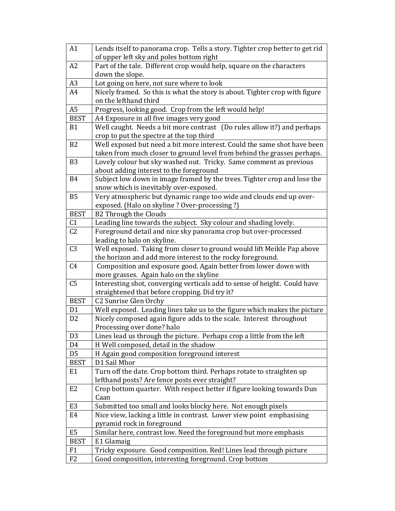| A1                               | Lends itself to panorama crop. Tells a story. Tighter crop better to get rid                      |
|----------------------------------|---------------------------------------------------------------------------------------------------|
|                                  | of upper left sky and poles bottom right                                                          |
| A <sub>2</sub>                   | Part of the tale. Different crop would help, square on the characters                             |
|                                  | down the slope.                                                                                   |
| A <sub>3</sub>                   | Lot going on here, not sure where to look                                                         |
| A4                               | Nicely framed. So this is what the story is about. Tighter crop with figure                       |
|                                  | on the lefthand third                                                                             |
| A <sub>5</sub>                   | Progress, looking good. Crop from the left would help!                                            |
| <b>BEST</b>                      | A4 Exposure in all five images very good                                                          |
| <b>B1</b>                        | Well caught. Needs a bit more contrast (Do rules allow it?) and perhaps                           |
|                                  | crop to put the spectre at the top third                                                          |
| B <sub>2</sub>                   | Well exposed but need a bit more interest. Could the same shot have been                          |
|                                  | taken from much closer to ground level from behind the grasses perhaps.                           |
| B <sub>3</sub>                   | Lovely colour but sky washed out. Tricky. Same comment as previous                                |
|                                  | about adding interest to the foreground                                                           |
| <b>B4</b>                        | Subject low down in image framed by the trees. Tighter crop and lose the                          |
|                                  | snow which is inevitably over-exposed.                                                            |
| <b>B5</b>                        | Very atmospheric but dynamic range too wide and clouds end up over-                               |
|                                  | exposed. (Halo on skyline ? Over-processing ?)                                                    |
| <b>BEST</b>                      | <b>B2 Through the Clouds</b>                                                                      |
| C1                               | Leading line towards the subject. Sky colour and shading lovely.                                  |
| C <sub>2</sub>                   | Foreground detail and nice sky panorama crop but over-processed                                   |
|                                  | leading to halo on skyline.                                                                       |
| C <sub>3</sub>                   | Well exposed. Taking from closer to ground would lift Meikle Pap above                            |
|                                  | the horizon and add more interest to the rocky foreground.                                        |
| C <sub>4</sub>                   | Composition and exposure good. Again better from lower down with                                  |
|                                  | more grasses. Again halo on the skyline                                                           |
| C <sub>5</sub>                   | Interesting shot, converging verticals add to sense of height. Could have                         |
|                                  | straightened that before cropping. Did try it?                                                    |
| <b>BEST</b>                      | C2 Sunrise Glen Orchy                                                                             |
| D <sub>1</sub><br>D <sub>2</sub> | Well exposed. Leading lines take us to the figure which makes the picture                         |
|                                  | Nicely composed again figure adds to the scale. Interest throughout<br>Processing over done? halo |
| D <sub>3</sub>                   | Lines lead us through the picture. Perhaps crop a little from the left                            |
| D <sub>4</sub>                   | H Well composed, detail in the shadow                                                             |
| D <sub>5</sub>                   | H Again good composition foreground interest                                                      |
| <b>BEST</b>                      | D1 Sail Mhor                                                                                      |
| E <sub>1</sub>                   | Turn off the date. Crop bottom third. Perhaps rotate to straighten up                             |
|                                  | lefthand posts? Are fence posts ever straight?                                                    |
| E <sub>2</sub>                   | Crop bottom quarter. With respect better if figure looking towards Dun                            |
|                                  | Caan                                                                                              |
| E <sub>3</sub>                   | Submitted too small and looks blocky here. Not enough pixels                                      |
| E4                               | Nice view, lacking a little in contrast. Lower view point emphasising                             |
|                                  | pyramid rock in foreground                                                                        |
| E <sub>5</sub>                   | Similar here, contrast low. Need the foreground but more emphasis                                 |
| <b>BEST</b>                      | E1 Glamaig                                                                                        |
| F <sub>1</sub>                   | Tricky exposure. Good composition. Red! Lines lead through picture                                |
| F2                               | Good composition, interesting foreground. Crop bottom                                             |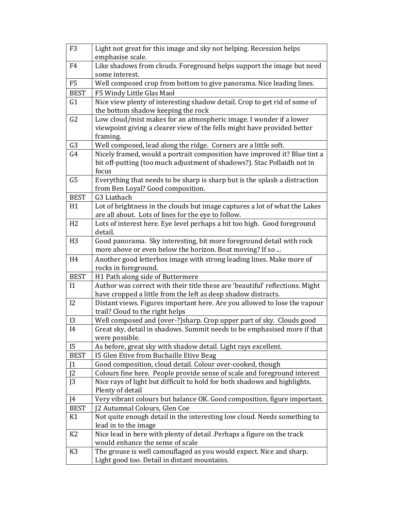| F <sub>3</sub> | Light not great for this image and sky not helping. Recession helps                                       |
|----------------|-----------------------------------------------------------------------------------------------------------|
|                | emphasise scale.                                                                                          |
| F4             | Like shadows from clouds. Foreground helps support the image but need                                     |
|                | some interest.                                                                                            |
| F <sub>5</sub> | Well composed crop from bottom to give panorama. Nice leading lines.                                      |
| <b>BEST</b>    | F5 Windy Little Glas Maol                                                                                 |
| G1             | Nice view plenty of interesting shadow detail. Crop to get rid of some of                                 |
|                | the bottom shadow keeping the rock                                                                        |
| G <sub>2</sub> | Low cloud/mist makes for an atmospheric image. I wonder if a lower                                        |
|                | viewpoint giving a clearer view of the fells might have provided better                                   |
|                | framing.                                                                                                  |
| G <sub>3</sub> | Well composed, lead along the ridge. Corners are a little soft.                                           |
| G4             | Nicely framed, would a portrait composition have improved it? Blue tint a                                 |
|                | bit off-putting (too much adjustment of shadows?). Stac Pollaidh not in                                   |
|                | focus                                                                                                     |
| G <sub>5</sub> | Everything that needs to be sharp is sharp but is the splash a distraction                                |
|                | from Ben Loyal? Good composition.                                                                         |
| <b>BEST</b>    | G3 Liathach                                                                                               |
| H1             | Lot of brightness in the clouds but image captures a lot of what the Lakes                                |
|                | are all about. Lots of lines for the eye to follow.                                                       |
| H2             | Lots of interest here. Eye level perhaps a bit too high. Good foreground                                  |
|                | detail.                                                                                                   |
| H <sub>3</sub> | Good panorama. Sky interesting, bit more foreground detail with rock                                      |
|                | more above or even below the horizon. Boat moving? If so                                                  |
| H <sub>4</sub> | Another good letterbox image with strong leading lines. Make more of                                      |
|                | rocks in foreground.                                                                                      |
| <b>BEST</b>    | H1 Path along side of Buttermere                                                                          |
| 11             | Author was correct with their title these are 'beautiful' reflections. Might                              |
|                | have cropped a little from the left as deep shadow distracts.                                             |
| I2             | Distant views. Figures important here. Are you allowed to lose the vapour                                 |
|                | trail? Cloud to the right helps                                                                           |
| I3             | Well composed and (over-?)sharp. Crop upper part of sky. Clouds good                                      |
| I4             | Great sky, detail in shadows. Summit needs to be emphasised more if that                                  |
| <b>I5</b>      | were possible.                                                                                            |
| <b>BEST</b>    | As before, great sky with shadow detail. Light rays excellent.<br>15 Glen Etive from Buchaille Etive Beag |
| 11             | Good composition, cloud detail. Colour over-cooked, though                                                |
| J <sub>2</sub> | Colours fine here. People provide sense of scale and foreground interest                                  |
| J <sub>3</sub> | Nice rays of light but difficult to hold for both shadows and highlights.                                 |
|                | Plenty of detail                                                                                          |
| [4]            | Very vibrant colours but balance OK. Good composition, figure important.                                  |
| <b>BEST</b>    | J2 Autumnal Colours, Glen Coe                                                                             |
| K1             | Not quite enough detail in the interesting low cloud. Needs something to                                  |
|                | lead in to the image                                                                                      |
| K <sub>2</sub> | Nice lead in here with plenty of detail .Perhaps a figure on the track                                    |
|                | would enhance the sense of scale                                                                          |
| K <sub>3</sub> | The grouse is well camouflaged as you would expect. Nice and sharp.                                       |
|                | Light good too. Detail in distant mountains.                                                              |